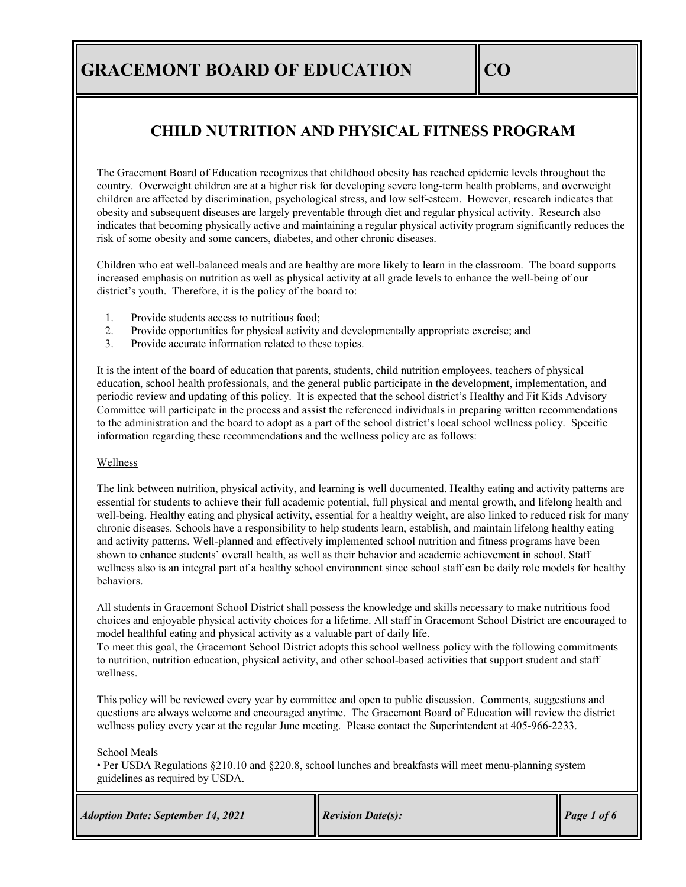# **CHILD NUTRITION AND PHYSICAL FITNESS PROGRAM**

The Gracemont Board of Education recognizes that childhood obesity has reached epidemic levels throughout the country. Overweight children are at a higher risk for developing severe long-term health problems, and overweight children are affected by discrimination, psychological stress, and low self-esteem. However, research indicates that obesity and subsequent diseases are largely preventable through diet and regular physical activity. Research also indicates that becoming physically active and maintaining a regular physical activity program significantly reduces the risk of some obesity and some cancers, diabetes, and other chronic diseases.

Children who eat well-balanced meals and are healthy are more likely to learn in the classroom. The board supports increased emphasis on nutrition as well as physical activity at all grade levels to enhance the well-being of our district's youth. Therefore, it is the policy of the board to:

- 1. Provide students access to nutritious food;
- 2. Provide opportunities for physical activity and developmentally appropriate exercise; and
- 3. Provide accurate information related to these topics.

It is the intent of the board of education that parents, students, child nutrition employees, teachers of physical education, school health professionals, and the general public participate in the development, implementation, and periodic review and updating of this policy. It is expected that the school district's Healthy and Fit Kids Advisory Committee will participate in the process and assist the referenced individuals in preparing written recommendations to the administration and the board to adopt as a part of the school district's local school wellness policy. Specific information regarding these recommendations and the wellness policy are as follows:

### Wellness

The link between nutrition, physical activity, and learning is well documented. Healthy eating and activity patterns are essential for students to achieve their full academic potential, full physical and mental growth, and lifelong health and well-being. Healthy eating and physical activity, essential for a healthy weight, are also linked to reduced risk for many chronic diseases. Schools have a responsibility to help students learn, establish, and maintain lifelong healthy eating and activity patterns. Well-planned and effectively implemented school nutrition and fitness programs have been shown to enhance students' overall health, as well as their behavior and academic achievement in school. Staff wellness also is an integral part of a healthy school environment since school staff can be daily role models for healthy behaviors.

All students in Gracemont School District shall possess the knowledge and skills necessary to make nutritious food choices and enjoyable physical activity choices for a lifetime. All staff in Gracemont School District are encouraged to model healthful eating and physical activity as a valuable part of daily life.

To meet this goal, the Gracemont School District adopts this school wellness policy with the following commitments to nutrition, nutrition education, physical activity, and other school-based activities that support student and staff wellness.

This policy will be reviewed every year by committee and open to public discussion. Comments, suggestions and questions are always welcome and encouraged anytime. The Gracemont Board of Education will review the district wellness policy every year at the regular June meeting. Please contact the Superintendent at 405-966-2233.

School Meals

• Per USDA Regulations §210.10 and §220.8, school lunches and breakfasts will meet menu-planning system guidelines as required by USDA.

| <b>Adoption Date: September 14, 2021</b> | <b>Revision Date(s):</b> | Page 1 of 6 |
|------------------------------------------|--------------------------|-------------|
|                                          |                          |             |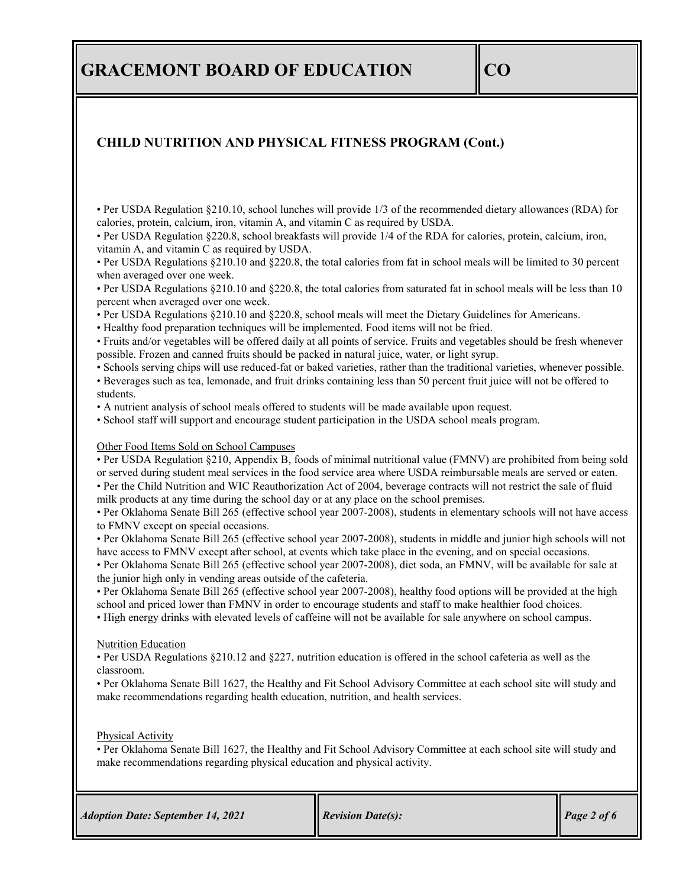## **CHILD NUTRITION AND PHYSICAL FITNESS PROGRAM (Cont.)**

• Per USDA Regulation §210.10, school lunches will provide 1/3 of the recommended dietary allowances (RDA) for calories, protein, calcium, iron, vitamin A, and vitamin C as required by USDA.

• Per USDA Regulation §220.8, school breakfasts will provide 1/4 of the RDA for calories, protein, calcium, iron, vitamin A, and vitamin C as required by USDA.

• Per USDA Regulations §210.10 and §220.8, the total calories from fat in school meals will be limited to 30 percent when averaged over one week.

• Per USDA Regulations §210.10 and §220.8, the total calories from saturated fat in school meals will be less than 10 percent when averaged over one week.

• Per USDA Regulations §210.10 and §220.8, school meals will meet the Dietary Guidelines for Americans.

• Healthy food preparation techniques will be implemented. Food items will not be fried.

• Fruits and/or vegetables will be offered daily at all points of service. Fruits and vegetables should be fresh whenever possible. Frozen and canned fruits should be packed in natural juice, water, or light syrup.

• Schools serving chips will use reduced-fat or baked varieties, rather than the traditional varieties, whenever possible.

• Beverages such as tea, lemonade, and fruit drinks containing less than 50 percent fruit juice will not be offered to students.

• A nutrient analysis of school meals offered to students will be made available upon request.

• School staff will support and encourage student participation in the USDA school meals program.

#### Other Food Items Sold on School Campuses

• Per USDA Regulation §210, Appendix B, foods of minimal nutritional value (FMNV) are prohibited from being sold or served during student meal services in the food service area where USDA reimbursable meals are served or eaten.

• Per the Child Nutrition and WIC Reauthorization Act of 2004, beverage contracts will not restrict the sale of fluid milk products at any time during the school day or at any place on the school premises.

• Per Oklahoma Senate Bill 265 (effective school year 2007-2008), students in elementary schools will not have access to FMNV except on special occasions.

• Per Oklahoma Senate Bill 265 (effective school year 2007-2008), students in middle and junior high schools will not have access to FMNV except after school, at events which take place in the evening, and on special occasions.

• Per Oklahoma Senate Bill 265 (effective school year 2007-2008), diet soda, an FMNV, will be available for sale at the junior high only in vending areas outside of the cafeteria.

• Per Oklahoma Senate Bill 265 (effective school year 2007-2008), healthy food options will be provided at the high school and priced lower than FMNV in order to encourage students and staff to make healthier food choices.

• High energy drinks with elevated levels of caffeine will not be available for sale anywhere on school campus.

#### Nutrition Education

• Per USDA Regulations §210.12 and §227, nutrition education is offered in the school cafeteria as well as the classroom.

• Per Oklahoma Senate Bill 1627, the Healthy and Fit School Advisory Committee at each school site will study and make recommendations regarding health education, nutrition, and health services.

Physical Activity

• Per Oklahoma Senate Bill 1627, the Healthy and Fit School Advisory Committee at each school site will study and make recommendations regarding physical education and physical activity.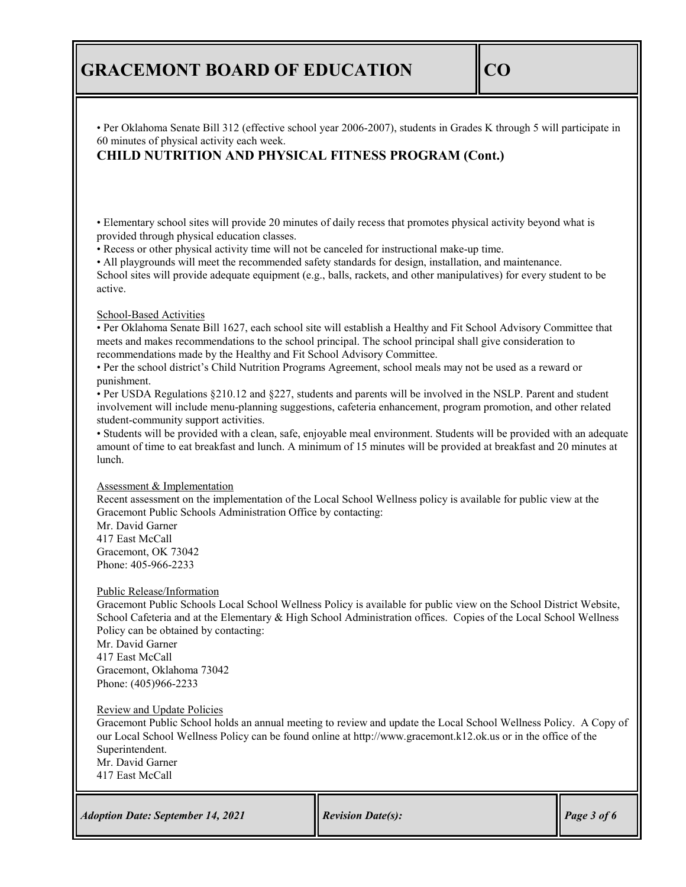• Per Oklahoma Senate Bill 312 (effective school year 2006-2007), students in Grades K through 5 will participate in 60 minutes of physical activity each week.

## **CHILD NUTRITION AND PHYSICAL FITNESS PROGRAM (Cont.)**

• Elementary school sites will provide 20 minutes of daily recess that promotes physical activity beyond what is provided through physical education classes.

• Recess or other physical activity time will not be canceled for instructional make-up time.

• All playgrounds will meet the recommended safety standards for design, installation, and maintenance. School sites will provide adequate equipment (e.g., balls, rackets, and other manipulatives) for every student to be active.

### School-Based Activities

• Per Oklahoma Senate Bill 1627, each school site will establish a Healthy and Fit School Advisory Committee that meets and makes recommendations to the school principal. The school principal shall give consideration to recommendations made by the Healthy and Fit School Advisory Committee.

• Per the school district's Child Nutrition Programs Agreement, school meals may not be used as a reward or punishment.

• Per USDA Regulations §210.12 and §227, students and parents will be involved in the NSLP. Parent and student involvement will include menu-planning suggestions, cafeteria enhancement, program promotion, and other related student-community support activities.

• Students will be provided with a clean, safe, enjoyable meal environment. Students will be provided with an adequate amount of time to eat breakfast and lunch. A minimum of 15 minutes will be provided at breakfast and 20 minutes at lunch.

### Assessment & Implementation

Recent assessment on the implementation of the Local School Wellness policy is available for public view at the Gracemont Public Schools Administration Office by contacting:

Mr. David Garner 417 East McCall Gracemont, OK 73042 Phone: 405-966-2233

### Public Release/Information

Gracemont Public Schools Local School Wellness Policy is available for public view on the School District Website, School Cafeteria and at the Elementary & High School Administration offices. Copies of the Local School Wellness Policy can be obtained by contacting:

Mr. David Garner 417 East McCall Gracemont, Oklahoma 73042 Phone: (405)966-2233

### Review and Update Policies

Gracemont Public School holds an annual meeting to review and update the Local School Wellness Policy. A Copy of our Local School Wellness Policy can be found online at http://www.gracemont.k12.ok.us or in the office of the Superintendent.

Mr. David Garner

417 East McCall

*Adoption Date: September 14, 2021 Revision Date(s):* Page 3 of 6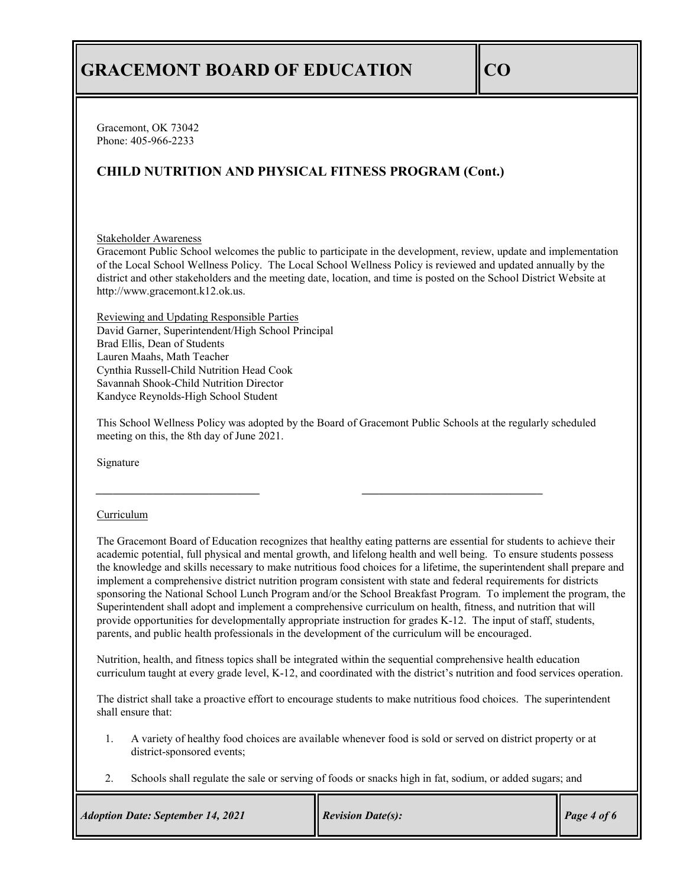Gracemont, OK 73042 Phone: 405-966-2233

## **CHILD NUTRITION AND PHYSICAL FITNESS PROGRAM (Cont.)**

### Stakeholder Awareness

Gracemont Public School welcomes the public to participate in the development, review, update and implementation of the Local School Wellness Policy. The Local School Wellness Policy is reviewed and updated annually by the district and other stakeholders and the meeting date, location, and time is posted on the School District Website at http://www.gracemont.k12.ok.us.

Reviewing and Updating Responsible Parties David Garner, Superintendent/High School Principal Brad Ellis, Dean of Students Lauren Maahs, Math Teacher Cynthia Russell-Child Nutrition Head Cook Savannah Shook-Child Nutrition Director Kandyce Reynolds-High School Student

This School Wellness Policy was adopted by the Board of Gracemont Public Schools at the regularly scheduled meeting on this, the 8th day of June 2021.

*\_\_\_\_\_\_\_\_\_\_\_\_\_\_\_\_\_\_\_\_\_\_\_\_\_\_\_\_\_ \_\_\_\_\_\_\_\_\_\_\_\_\_\_\_\_\_\_\_\_\_\_\_\_\_\_\_\_\_\_\_\_*

Signature

### Curriculum

The Gracemont Board of Education recognizes that healthy eating patterns are essential for students to achieve their academic potential, full physical and mental growth, and lifelong health and well being. To ensure students possess the knowledge and skills necessary to make nutritious food choices for a lifetime, the superintendent shall prepare and implement a comprehensive district nutrition program consistent with state and federal requirements for districts sponsoring the National School Lunch Program and/or the School Breakfast Program. To implement the program, the Superintendent shall adopt and implement a comprehensive curriculum on health, fitness, and nutrition that will provide opportunities for developmentally appropriate instruction for grades K-12. The input of staff, students, parents, and public health professionals in the development of the curriculum will be encouraged.

Nutrition, health, and fitness topics shall be integrated within the sequential comprehensive health education curriculum taught at every grade level, K-12, and coordinated with the district's nutrition and food services operation.

The district shall take a proactive effort to encourage students to make nutritious food choices. The superintendent shall ensure that:

- 1. A variety of healthy food choices are available whenever food is sold or served on district property or at district-sponsored events;
- 2. Schools shall regulate the sale or serving of foods or snacks high in fat, sodium, or added sugars; and

| <b>Adoption Date: September 14, 2021</b> | <b>Revision Date(s):</b> | Page 4 of 6 |
|------------------------------------------|--------------------------|-------------|
|------------------------------------------|--------------------------|-------------|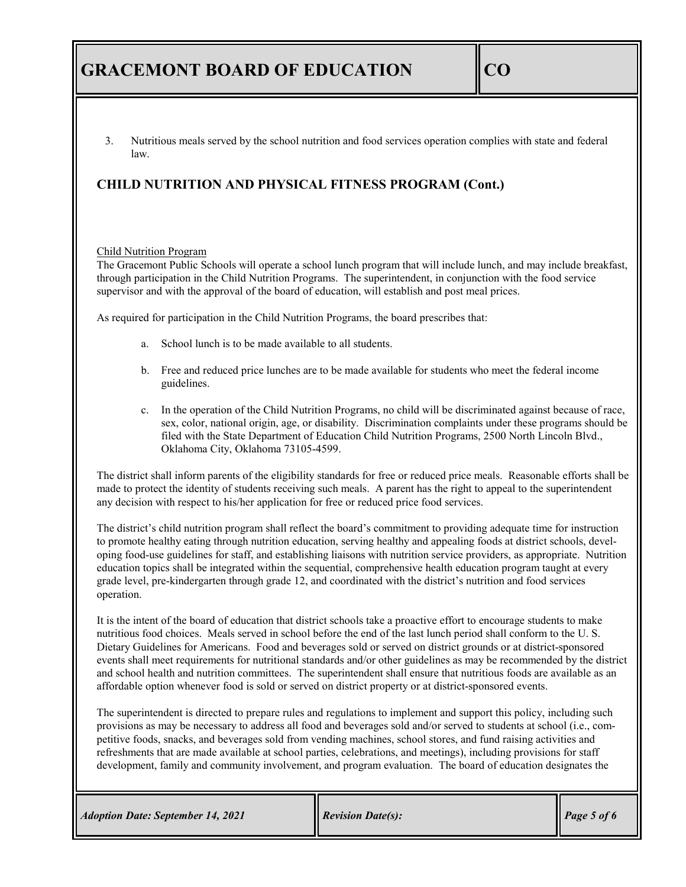3. Nutritious meals served by the school nutrition and food services operation complies with state and federal law.

# **CHILD NUTRITION AND PHYSICAL FITNESS PROGRAM (Cont.)**

#### Child Nutrition Program

The Gracemont Public Schools will operate a school lunch program that will include lunch, and may include breakfast, through participation in the Child Nutrition Programs. The superintendent, in conjunction with the food service supervisor and with the approval of the board of education, will establish and post meal prices.

As required for participation in the Child Nutrition Programs, the board prescribes that:

- a. School lunch is to be made available to all students.
- b. Free and reduced price lunches are to be made available for students who meet the federal income guidelines.
- c. In the operation of the Child Nutrition Programs, no child will be discriminated against because of race, sex, color, national origin, age, or disability. Discrimination complaints under these programs should be filed with the State Department of Education Child Nutrition Programs, 2500 North Lincoln Blvd., Oklahoma City, Oklahoma 73105-4599.

The district shall inform parents of the eligibility standards for free or reduced price meals. Reasonable efforts shall be made to protect the identity of students receiving such meals. A parent has the right to appeal to the superintendent any decision with respect to his/her application for free or reduced price food services.

The district's child nutrition program shall reflect the board's commitment to providing adequate time for instruction to promote healthy eating through nutrition education, serving healthy and appealing foods at district schools, developing food-use guidelines for staff, and establishing liaisons with nutrition service providers, as appropriate. Nutrition education topics shall be integrated within the sequential, comprehensive health education program taught at every grade level, pre-kindergarten through grade 12, and coordinated with the district's nutrition and food services operation.

It is the intent of the board of education that district schools take a proactive effort to encourage students to make nutritious food choices. Meals served in school before the end of the last lunch period shall conform to the U. S. Dietary Guidelines for Americans. Food and beverages sold or served on district grounds or at district-sponsored events shall meet requirements for nutritional standards and/or other guidelines as may be recommended by the district and school health and nutrition committees. The superintendent shall ensure that nutritious foods are available as an affordable option whenever food is sold or served on district property or at district-sponsored events.

The superintendent is directed to prepare rules and regulations to implement and support this policy, including such provisions as may be necessary to address all food and beverages sold and/or served to students at school (i.e., competitive foods, snacks, and beverages sold from vending machines, school stores, and fund raising activities and refreshments that are made available at school parties, celebrations, and meetings), including provisions for staff development, family and community involvement, and program evaluation. The board of education designates the